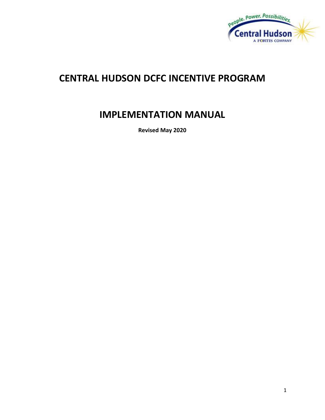

# **CENTRAL HUDSON DCFC INCENTIVE PROGRAM**

# **IMPLEMENTATION MANUAL**

**Revised May 2020**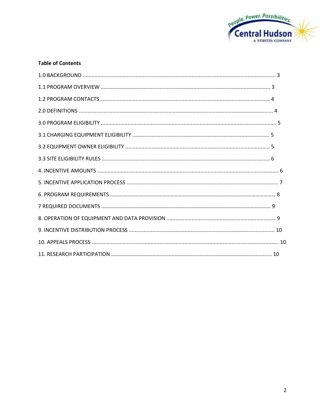

## **Table of Contents**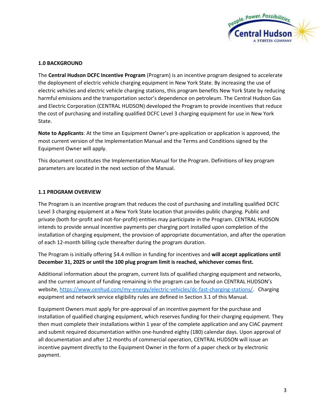

## **1.0 BACKGROUND**

The **Central Hudson DCFC Incentive Program** (Program) is an incentive program designed to accelerate the deployment of electric vehicle charging equipment in New York State. By increasing the use of electric vehicles and electric vehicle charging stations, this program benefits New York State by reducing harmful emissions and the transportation sector's dependence on petroleum. The Central Hudson Gas and Electric Corporation (CENTRAL HUDSON) developed the Program to provide incentives that reduce the cost of purchasing and installing qualified DCFC Level 3 charging equipment for use in New York State.

**Note to Applicants**: At the time an Equipment Owner's pre-application or application is approved, the most current version of the Implementation Manual and the Terms and Conditions signed by the Equipment Owner will apply.

This document constitutes the Implementation Manual for the Program. Definitions of key program parameters are located in the next section of the Manual.

# **1.1 PROGRAM OVERVIEW**

The Program is an incentive program that reduces the cost of purchasing and installing qualified DCFC Level 3 charging equipment at a New York State location that provides public charging. Public and private (both for-profit and not-for-profit) entities may participate in the Program. CENTRAL HUDSON intends to provide annual incentive payments per charging port installed upon completion of the installation of charging equipment, the provision of appropriate documentation, and after the operation of each 12-month billing cycle thereafter during the program duration.

The Program is initially offering \$4.4 million in funding for incentives and **will accept applications until December 31, 2025 or until the 100 plug program limit is reached, whichever comes first.** 

Additional information about the program, current lists of qualified charging equipment and networks, and the current amount of funding remaining in the program can be found on CENTRAL HUDSON's website, https://www.cenhud.com/my-energy/electric-vehicles/dc-fast-charging-stations/. Charging equipment and network service eligibility rules are defined in Section 3.1 of this Manual.

Equipment Owners must apply for pre-approval of an incentive payment for the purchase and installation of qualified charging equipment, which reserves funding for their charging equipment. They then must complete their installations within 1 year of the complete application and any CIAC payment and submit required documentation within one-hundred eighty (180) calendar days. Upon approval of all documentation and after 12 months of commercial operation, CENTRAL HUDSON will issue an incentive payment directly to the Equipment Owner in the form of a paper check or by electronic payment.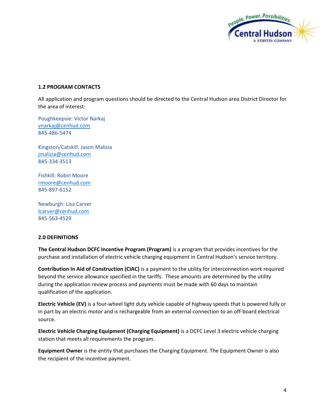

# **1.2 PROGRAM CONTACTS**

All application and program questions should be directed to the Central Hudson area District Director for the area of interest:

Poughkeepsie: Victor Narkaj [vnarkaj@cenhud.com](mailto:vnarkaj@cenhud.com) 845-486-5474

Kingston/Catskill: Jason Malizia [jmalizia@cenhud.com](mailto:jmalizia@cenhud.com) 845-334-3513

Fishkill: Robin Moore [rmoore@cenhud.com](mailto:rmoore@cenhud.com) 845-897-6152

Newburgh: Lisa Carver [lcarver@cenhud.com](mailto:lcarver@cenhud.com) 845-563-4529

# **2.0 DEFINITIONS**

**The Central Hudson DCFC Incentive Program (Program)** is a program that provides incentives for the purchase and installation of electric vehicle charging equipment in Central Hudson's service territory.

**Contribution In Aid of Construction (CIAC)** is a payment to the utility for interconnection work required beyond the service allowance specified in the tariffs. These amounts are determined by the utility during the application review process and payments must be made with 60 days to maintain qualification of the application.

**Electric Vehicle (EV)** is a four-wheel light duty vehicle capable of highway speeds that is powered fully or in part by an electric motor and is rechargeable from an external connection to an off-board electrical source.

**Electric Vehicle Charging Equipment (Charging Equipment)** is a DCFC Level 3 electric vehicle charging station that meets all requirements the program.

**Equipment Owner** is the entity that purchases the Charging Equipment. The Equipment Owner is also the recipient of the incentive payment.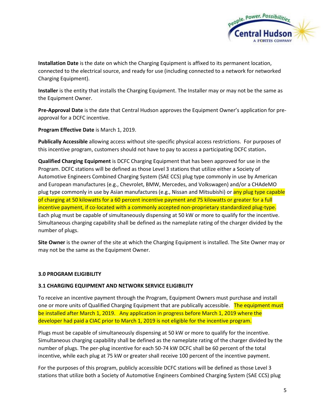

**Installation Date** is the date on which the Charging Equipment is affixed to its permanent location, connected to the electrical source, and ready for use (including connected to a network for networked Charging Equipment).

**Installer** is the entity that installs the Charging Equipment. The Installer may or may not be the same as the Equipment Owner.

**Pre-Approval Date** is the date that Central Hudson approves the Equipment Owner's application for preapproval for a DCFC incentive.

**Program Effective Date** is March 1, 2019.

**Publically Accessible** allowing access without site-specific physical access restrictions. For purposes of this incentive program, customers should not have to pay to access a participating DCFC station**.** 

**Qualified Charging Equipment** is DCFC Charging Equipment that has been approved for use in the Program. DCFC stations will be defined as those Level 3 stations that utilize either a Society of Automotive Engineers Combined Charging System (SAE CCS) plug type commonly in use by American and European manufactures (e.g., Chevrolet, BMW, Mercedes, and Volkswagen) and/or a CHAdeMO plug type commonly in use by Asian manufactures (e.g., Nissan and Mitsubishi) or any plug type capable of charging at 50 kilowatts for a 60 percent incentive payment and 75 kilowatts or greater for a full incentive payment, if co-located with a commonly accepted non-proprietary standardized plug-type. Each plug must be capable of simultaneously dispensing at 50 kW or more to qualify for the incentive. Simultaneous charging capability shall be defined as the nameplate rating of the charger divided by the number of plugs.

**Site Owner** is the owner of the site at which the Charging Equipment is installed. The Site Owner may or may not be the same as the Equipment Owner.

# **3.0 PROGRAM ELIGIBILITY**

#### **3.1 CHARGING EQUIPMENT AND NETWORK SERVICE ELIGIBILITY**

To receive an incentive payment through the Program, Equipment Owners must purchase and install one or more units of Qualified Charging Equipment that are publically accessible. The equipment must be installed after March 1, 2019. Any application in progress before March 1, 2019 where the developer had paid a CIAC prior to March 1, 2019 is not eligible for the incentive program.

Plugs must be capable of simultaneously dispensing at 50 kW or more to qualify for the incentive. Simultaneous charging capability shall be defined as the nameplate rating of the charger divided by the number of plugs. The per-plug incentive for each 50-74 kW DCFC shall be 60 percent of the total incentive, while each plug at 75 kW or greater shall receive 100 percent of the incentive payment.

For the purposes of this program, publicly accessible DCFC stations will be defined as those Level 3 stations that utilize both a Society of Automotive Engineers Combined Charging System (SAE CCS) plug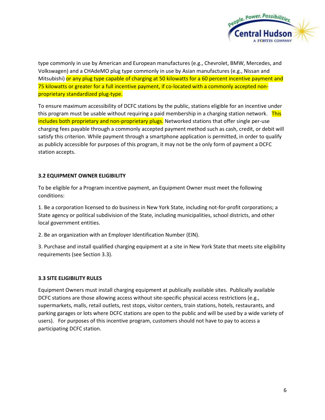

type commonly in use by American and European manufactures (e.g., Chevrolet, BMW, Mercedes, and Volkswagen) and a CHAdeMO plug type commonly in use by Asian manufactures (e.g., Nissan and Mitsubishi) or any plug type capable of charging at 50 kilowatts for a 60 percent incentive payment and 75 kilowatts or greater for a full incentive payment, if co-located with a commonly accepted nonproprietary standardized plug-type.

To ensure maximum accessibility of DCFC stations by the public, stations eligible for an incentive under this program must be usable without requiring a paid membership in a charging station network. This includes both proprietary and non-proprietary plugs. Networked stations that offer single per-use charging fees payable through a commonly accepted payment method such as cash, credit, or debit will satisfy this criterion. While payment through a smartphone application is permitted, in order to qualify as publicly accessible for purposes of this program, it may not be the only form of payment a DCFC station accepts.

# **3.2 EQUIPMENT OWNER ELIGIBILITY**

To be eligible for a Program incentive payment, an Equipment Owner must meet the following conditions:

1. Be a corporation licensed to do business in New York State, including not-for-profit corporations; a State agency or political subdivision of the State, including municipalities, school districts, and other local government entities.

2. Be an organization with an Employer Identification Number (EIN).

3. Purchase and install qualified charging equipment at a site in New York State that meets site eligibility requirements (see Section 3.3).

# **3.3 SITE ELIGIBILITY RULES**

Equipment Owners must install charging equipment at publically available sites. Publically available DCFC stations are those allowing access without site-specific physical access restrictions (e.g., supermarkets, malls, retail outlets, rest stops, visitor centers, train stations, hotels, restaurants, and parking garages or lots where DCFC stations are open to the public and will be used by a wide variety of users). For purposes of this incentive program, customers should not have to pay to access a participating DCFC station.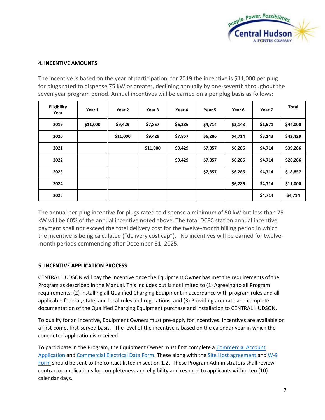

# **4. INCENTIVE AMOUNTS**

The incentive is based on the year of participation, for 2019 the incentive is \$11,000 per plug for plugs rated to dispense 75 kW or greater, declining annually by one-seventh throughout the seven year program period. Annual incentives will be earned on a per plug basis as follows:

| Eligibility<br>Year | Year 1   | Year 2   | Year 3   | Year 4  | Year 5  | Year <sub>6</sub> | Year 7  | Total    |
|---------------------|----------|----------|----------|---------|---------|-------------------|---------|----------|
| 2019                | \$11,000 | \$9,429  | \$7,857  | \$6,286 | \$4,714 | \$3,143           | \$1,571 | \$44,000 |
| 2020                |          | \$11,000 | \$9,429  | \$7,857 | \$6,286 | \$4,714           | \$3,143 | \$42,429 |
| 2021                |          |          | \$11,000 | \$9,429 | \$7,857 | \$6,286           | \$4,714 | \$39,286 |
| 2022                |          |          |          | \$9,429 | \$7,857 | \$6,286           | \$4,714 | \$28,286 |
| 2023                |          |          |          |         | \$7,857 | \$6,286           | \$4,714 | \$18,857 |
| 2024                |          |          |          |         |         | \$6,286           | \$4,714 | \$11,000 |
| 2025                |          |          |          |         |         |                   | \$4,714 | \$4,714  |

The annual per-plug incentive for plugs rated to dispense a minimum of 50 kW but less than 75 kW will be 60% of the annual incentive noted above. The total DCFC station annual incentive payment shall not exceed the total delivery cost for the twelve-month billing period in which the incentive is being calculated ("delivery cost cap"). No incentives will be earned for twelvemonth periods commencing after December 31, 2025.

# **5. INCENTIVE APPLICATION PROCESS**

CENTRAL HUDSON will pay the Incentive once the Equipment Owner has met the requirements of the Program as described in the Manual. This includes but is not limited to (1) Agreeing to all Program requirements, (2) Installing all Qualified Charging Equipment in accordance with program rules and all applicable federal, state, and local rules and regulations, and (3) Providing accurate and complete documentation of the Qualified Charging Equipment purchase and installation to CENTRAL HUDSON.

To qualify for an incentive, Equipment Owners must pre-apply for incentives. Incentives are available on a first-come, first-served basis. The level of the incentive is based on the calendar year in which the completed application is received.

To participate in the Program, the Equipment Owner must first complete [a Commercial Account](https://www.cenhud.com/static_files/cenhud/assets/pdf/comm_app.pdf)  [Application](https://www.cenhud.com/static_files/cenhud/assets/pdf/comm_app.pdf) an[d Commercial Electrical Data Form.](https://www.cenhud.com/static_files/cenhud/assets/pdf/Electric31120081222.pdf) These along with th[e Site Host agreement](https://www.cenhud.com/static_files/cenhud/assets/pdf/dcfc_site%20host%20agreement.pdf) an[d W-9](https://www.cenhud.com/static_files/cenhud/assets/pdf/w9_chge.pdf)  [Form](https://www.cenhud.com/static_files/cenhud/assets/pdf/w9_chge.pdf) should be sent to the contact listed in section 1.2. These Program Administrators shall review contractor applications for completeness and eligibility and respond to applicants within ten (10) calendar days.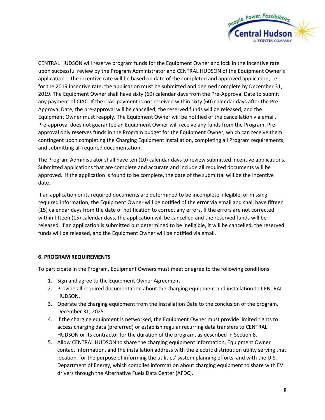

CENTRAL HUDSON will reserve program funds for the Equipment Owner and lock in the incentive rate upon successful review by the Program Administrator and CENTRAL HUDSON of the Equipment Owner's application. The incentive rate will be based on date of the completed and approved application, i.e. for the 2019 incentive rate, the application must be submitted and deemed complete by December 31, 2019. The Equipment Owner shall have sixty (60) calendar days from the Pre-Approval Date to submit any payment of CIAC. If the CIAC payment is not received within sixty (60) calendar days after the Pre-Approval Date, the pre-approval will be cancelled, the reserved funds will be released, and the Equipment Owner must reapply. The Equipment Owner will be notified of the cancellation via email. Pre-approval does not guarantee an Equipment Owner will receive any funds from the Program. Preapproval only reserves funds in the Program budget for the Equipment Owner, which can receive them contingent upon completing the Charging Equipment installation, completing all Program requirements, and submitting all required documentation.

The Program Administrator shall have ten (10) calendar days to review submitted incentive applications. Submitted applications that are complete and accurate and include all required documents will be approved. If the application is found to be complete, the date of the submittal will be the incentive date.

If an application or its required documents are determined to be incomplete, illegible, or missing required information, the Equipment Owner will be notified of the error via email and shall have fifteen (15) calendar days from the date of notification to correct any errors. If the errors are not corrected within fifteen (15) calendar days, the application will be cancelled and the reserved funds will be released. If an application is submitted but determined to be ineligible, it will be cancelled, the reserved funds will be released, and the Equipment Owner will be notified via email.

# **6. PROGRAM REQUIREMENTS**

To participate in the Program, Equipment Owners must meet or agree to the following conditions:

- 1. Sign and agree to the Equipment Owner Agreement.
- 2. Provide all required documentation about the charging equipment and installation to CENTRAL HUDSON.
- 3. Operate the charging equipment from the Installation Date to the conclusion of the program, December 31, 2025.
- 4. If the charging equipment is networked, the Equipment Owner must provide limited rights to access charging data (preferred) or establish regular recurring data transfers to CENTRAL HUDSON or its contractor for the duration of the program, as described in Section 8.
- 5. Allow CENTRAL HUDSON to share the charging equipment information, Equipment Owner contact information, and the installation address with the electric distribution utility serving that location, for the purpose of informing the utilities' system planning efforts, and with the U.S. Department of Energy, which compiles information about charging equipment to share with EV drivers through the Alternative Fuels Data Center (AFDC).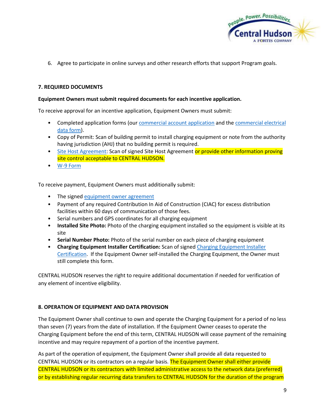

6. Agree to participate in online surveys and other research efforts that support Program goals.

# **7. REQUIRED DOCUMENTS**

#### **Equipment Owners must submit required documents for each incentive application.**

To receive approval for an incentive application, Equipment Owners must submit:

- Completed application forms (ou[r commercial account application](https://www.cenhud.com/static_files/cenhud/assets/pdf/comm_app.pdf) and the [commercial electrical](https://www.cenhud.com/static_files/cenhud/assets/pdf/Electric31120081222.pdf)  [data form\)](https://www.cenhud.com/static_files/cenhud/assets/pdf/Electric31120081222.pdf).
- Copy of Permit: Scan of building permit to install charging equipment or note from the authority having jurisdiction (AHJ) that no building permit is required.
- [Site Host Agreement:](https://www.cenhud.com/static_files/cenhud/assets/pdf/dcfc_site%20host%20agreement.pdf) Scan of signed Site Host Agreement or provide other information proving site control acceptable to CENTRAL HUDSON.
- [W-9 Form](https://www.cenhud.com/static_files/cenhud/assets/pdf/w9_chge.pdf)

To receive payment, Equipment Owners must additionally submit:

- The signe[d equipment owner agreement](https://www.cenhud.com/static_files/cenhud/assets/pdf/dcfc_incentive%20program%20agreement.pdf)
- Payment of any required Contribution In Aid of Construction (CIAC) for excess distribution facilities within 60 days of communication of those fees.
- Serial numbers and GPS coordinates for all charging equipment
- **Installed Site Photo:** Photo of the charging equipment installed so the equipment is visible at its site
- **Serial Number Photo:** Photo of the serial number on each piece of charging equipment
- **Charging Equipment Installer Certification:** Scan of signed [Charging Equipment Installer](https://www.cenhud.com/static_files/cenhud/assets/pdf/dcfc_equipment%20installer%20certification.pdf)  [Certification.](https://www.cenhud.com/static_files/cenhud/assets/pdf/dcfc_equipment%20installer%20certification.pdf) If the Equipment Owner self-installed the Charging Equipment, the Owner must still complete this form.

CENTRAL HUDSON reserves the right to require additional documentation if needed for verification of any element of incentive eligibility.

#### **8. OPERATION OF EQUIPMENT AND DATA PROVISION**

The Equipment Owner shall continue to own and operate the Charging Equipment for a period of no less than seven (7) years from the date of installation. If the Equipment Owner ceases to operate the Charging Equipment before the end of this term, CENTRAL HUDSON will cease payment of the remaining incentive and may require repayment of a portion of the incentive payment.

As part of the operation of equipment, the Equipment Owner shall provide all data requested to CENTRAL HUDSON or its contractors on a regular basis. The Equipment Owner shall either provide CENTRAL HUDSON or its contractors with limited administrative access to the network data (preferred) or by establishing regular recurring data transfers to CENTRAL HUDSON for the duration of the program